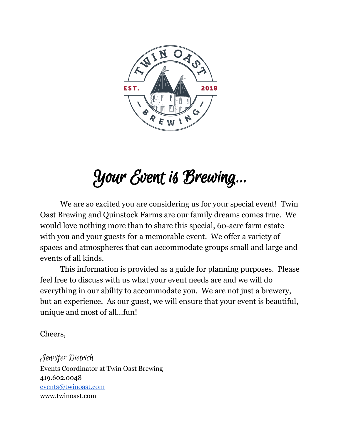

# Your Event is Brewing...

We are so excited you are considering us for your special event! Twin Oast Brewing and Quinstock Farms are our family dreams comes true. We would love nothing more than to share this special, 60-acre farm estate with you and your guests for a memorable event. We offer a variety of spaces and atmospheres that can accommodate groups small and large and events of all kinds.

This information is provided as a guide for planning purposes. Please feel free to discuss with us what your event needs are and we will do everything in our ability to accommodate you. We are not just a brewery, but an experience. As our guest, we will ensure that your event is beautiful, unique and most of all...fun!

Cheers,

Jennifer Dietrich Events Coordinator at Twin Oast Brewing 419.602.0048 [events@twinoast.com](mailto:events@twinoast.com) www.twinoast.com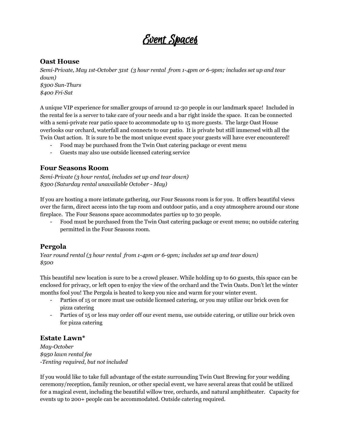# Event Spaces

### **Oast House**

*Semi-Private, May 1st-October 31st (3 hour rental from 1-4pm or 6-9pm; includes set up and tear down) \$300 Sun-Thurs \$400 Fri-Sat*

A unique VIP experience for smaller groups of around 12-30 people in our landmark space! Included in the rental fee is a server to take care of your needs and a bar right inside the space. It can be connected with a semi-private rear patio space to accommodate up to 15 more guests. The large Oast House overlooks our orchard, waterfall and connects to our patio. It is private but still immersed with all the Twin Oast action. It is sure to be the most unique event space your guests will have ever encountered!

- Food may be purchased from the Twin Oast catering package or event menu
- Guests may also use outside licensed catering service

### **Four Seasons Room**

*Semi-Private (3 hour rental, includes set up and tear down) \$300 (Saturday rental unavailable October - May)*

If you are hosting a more intimate gathering, our Four Seasons room is for you. It offers beautiful views over the farm, direct access into the tap room and outdoor patio, and a cozy atmosphere around our stone fireplace. The Four Seasons space accommodates parties up to 30 people.

- Food must be purchased from the Twin Oast catering package or event menu; no outside catering permitted in the Four Seasons room.

### **Pergola**

*Year round rental (3 hour rental from 1-4pm or 6-9pm; includes set up and tear down) \$500*

This beautiful new location is sure to be a crowd pleaser. While holding up to 60 guests, this space can be enclosed for privacy, or left open to enjoy the view of the orchard and the Twin Oasts. Don't let the winter months fool you! The Pergola is heated to keep you nice and warm for your winter event.

- Parties of 15 or more must use outside licensed catering, or you may utilize our brick oven for pizza catering
- Parties of 15 or less may order off our event menu, use outside catering, or utilize our brick oven for pizza catering

### **Estate Lawn\***

*May-October \$950 lawn rental fee* -*Tenting required, but not included*

If you would like to take full advantage of the estate surrounding Twin Oast Brewing for your wedding ceremony/reception, family reunion, or other special event, we have several areas that could be utilized for a magical event, including the beautiful willow tree, orchards, and natural amphitheater. Capacity for events up to 200+ people can be accommodated. Outside catering required.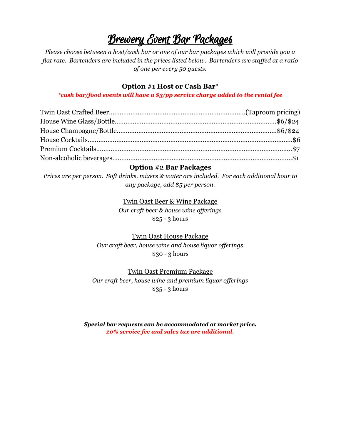# Brewery Event Bar Packages

*Please choose between a host/cash bar or one of our bar packages which will provide you a flat rate. Bartenders are included in the prices listed below. Bartenders are staf ed at a ratio of one per every 50 guests.*

## **Option #1 Host or Cash Bar\***

#### *\*cash bar/food events will have a \$3/pp service charge added to the rental fee*

### **Option #2 Bar Packages**

*Prices are per person. Soft drinks, mixers & water are included. For each additional hour to any package, add \$5 per person.*

> Twin Oast Beer & Wine Package *Our craft beer & house wine of erings* \$25 - 3 hours

Twin Oast House Package *Our craft beer, house wine and house liquor of erings* \$30 - 3 hours

Twin Oast Premium Package *Our craft beer, house wine and premium liquor of erings* \$35 - 3 hours

*Special bar requests can be accommodated at market price. 20% service fee and sales tax are additional.*